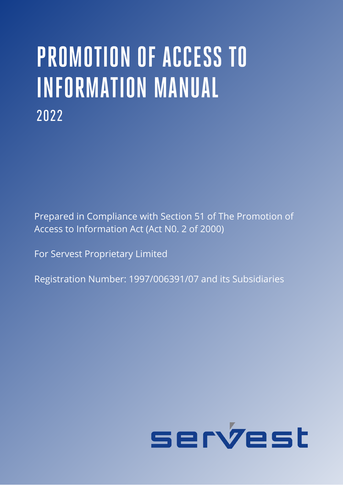## **PROMOTION OF ACCESS TO INFORMATION MANUAL** 2022

Prepared in Compliance with Section 51 of The Promotion of Access to Information Act (Act N0. 2 of 2000)

For Servest Proprietary Limited

Registration Number: 1997/006391/07 and its Subsidiaries

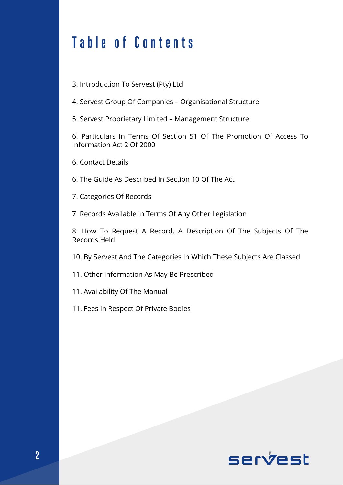## **Table of Contents**

3. Introduction To Servest (Pty) Ltd

4. Servest Group Of Companies – Organisational Structure

5. Servest Proprietary Limited – Management Structure

6. Particulars In Terms Of Section 51 Of The Promotion Of Access To Information Act 2 Of 2000

6. Contact Details

6. The Guide As Described In Section 10 Of The Act

7. Categories Of Records

7. Records Available In Terms Of Any Other Legislation

8. How To Request A Record. A Description Of The Subjects Of The Records Held

10. By Servest And The Categories In Which These Subjects Are Classed

11. Other Information As May Be Prescribed

11. Availability Of The Manual

11. Fees In Respect Of Private Bodies

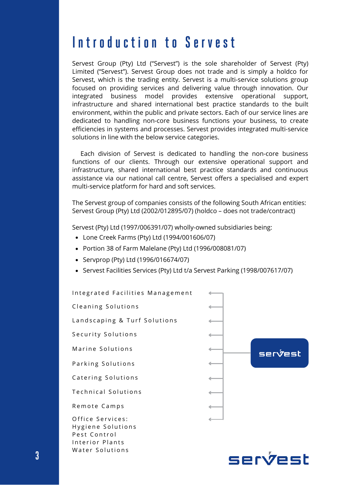## **I n t r o d u c t i o n t o S e r v e s t**

Servest Group (Pty) Ltd ("Servest") is the sole shareholder of Servest (Pty) Limited ("Servest"). Servest Group does not trade and is simply a holdco for Servest, which is the trading entity. Servest is a multi-service solutions group focused on providing services and delivering value through innovation. Our integrated business model provides extensive operational support, infrastructure and shared international best practice standards to the built environment, within the public and private sectors. Each of our service lines are dedicated to handling non-core business functions your business, to create efficiencies in systems and processes. Servest provides integrated multi-service solutions in line with the below service categories.

 Each division of Servest is dedicated to handling the non-core business functions of our clients. Through our extensive operational support and infrastructure, shared international best practice standards and continuous assistance via our national call centre, Servest offers a specialised and expert multi-service platform for hard and soft services.

The Servest group of companies consists of the following South African entities: Servest Group (Pty) Ltd (2002/012895/07) (holdco – does not trade/contract)

Servest (Pty) Ltd (1997/006391/07) wholly-owned subsidiaries being:

- Lone Creek Farms (Pty) Ltd (1994/001606/07)
- Portion 38 of Farm Malelane (Pty) Ltd (1996/008081/07)
- Servprop (Pty) Ltd (1996/016674/07)
- Servest Facilities Services (Pty) Ltd t/a Servest Parking (1998/007617/07)

Integrated Facilities Management Cleaning Solutions Landscaping & Turf Solutions Security Solutions Marine Solutions serýest Parking Solutions Catering Solutions Technical Solutions Remote Camps Office Services: Hygiene Solutions Pest Control Interior Plants Water Solutions

servest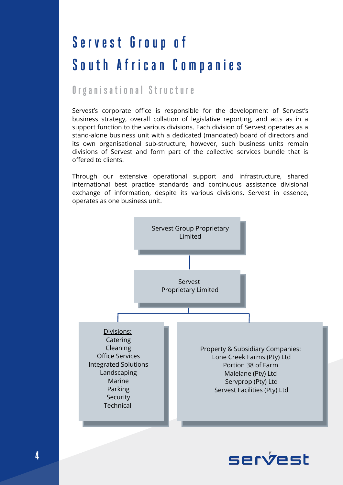## **S e r v e s t G r o u p o f**  South African Companies

#### **O r g a n i s a t i o n a l S t r u c t u r e**

Servest's corporate office is responsible for the development of Servest's business strategy, overall collation of legislative reporting, and acts as in a support function to the various divisions. Each division of Servest operates as a stand-alone business unit with a dedicated (mandated) board of directors and its own organisational sub-structure, however, such business units remain divisions of Servest and form part of the collective services bundle that is offered to clients.

Through our extensive operational support and infrastructure, shared international best practice standards and continuous assistance divisional exchange of information, despite its various divisions, Servest in essence, operates as one business unit.



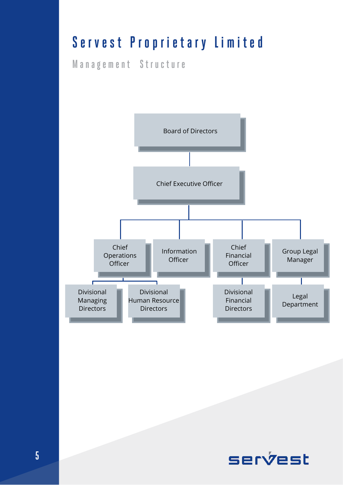## Servest Proprietary Limited

**M a n a g e m e n t S t r u c t u r e**



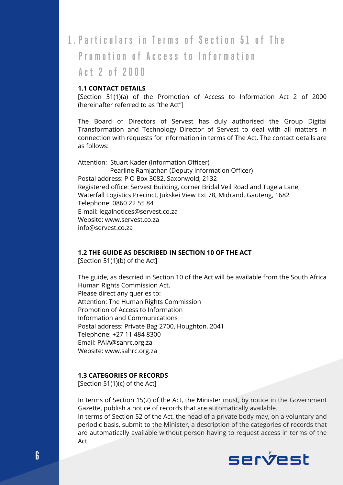#### 1. Particulars in Terms of Section 51 of The

**Promotion of Access to Information** 

#### **A c t 2 o f 2 0 0 0**

#### **1.1 CONTACT DETAILS**

[Section 51(1)(a) of the Promotion of Access to Information Act 2 of 2000 (hereinafter referred to as "the Act"]

The Board of Directors of Servest has duly authorised the Group Digital Transformation and Technology Director of Servest to deal with all matters in connection with requests for information in terms of The Act. The contact details are as follows:

Attention: Stuart Kader (Information Officer) Pearline Ramjathan (Deputy Information Officer) Postal address: P O Box 3082, Saxonwold, 2132 Registered office: Servest Building, corner Bridal Veil Road and Tugela Lane, Waterfall Logistics Precinct, Jukskei View Ext 78, Midrand, Gauteng, 1682 Telephone: 0860 22 55 84 E-mail: legalnotices@servest.co.za Website: [www.servest.co.za](http://www.servest.co.za/) info@servest.co.za

#### **1.2 THE GUIDE AS DESCRIBED IN SECTION 10 OF THE ACT**

[Section 51(1)(b) of the Act]

The guide, as descried in Section 10 of the Act will be available from the South Africa Human Rights Commission Act. Please direct any queries to: Attention: The Human Rights Commission Promotion of Access to Information Information and Communications Postal address: Private Bag 2700, Houghton, 2041 Telephone: +27 11 484 8300 Email: PAIA@sahrc.org.za Website: www.sahrc.org.za

#### **1.3 CATEGORIES OF RECORDS**

[Section 51(1)(c) of the Act]

In terms of Section 15(2) of the Act, the Minister must, by notice in the Government Gazette, publish a notice of records that are automatically available.

In terms of Section 52 of the Act, the head of a private body may, on a voluntary and periodic basis, submit to the Minister, a description of the categories of records that are automatically available without person having to request access in terms of the Act.

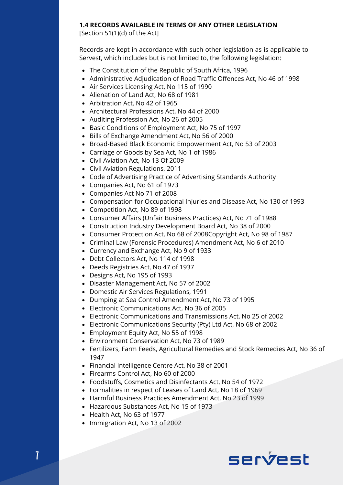#### **1.4 RECORDS AVAILABLE IN TERMS OF ANY OTHER LEGISLATION**

[Section 51(1)(d) of the Act]

Records are kept in accordance with such other legislation as is applicable to Servest, which includes but is not limited to, the following legislation:

- The Constitution of the Republic of South Africa, 1996
- Administrative Adjudication of Road Traffic Offences Act, No 46 of 1998
- Air Services Licensing Act, No 115 of 1990
- Alienation of Land Act, No 68 of 1981
- Arbitration Act, No 42 of 1965
- Architectural Professions Act, No 44 of 2000
- Auditing Profession Act, No 26 of 2005
- Basic Conditions of Employment Act, No 75 of 1997
- Bills of Exchange Amendment Act, No 56 of 2000
- Broad-Based Black Economic Empowerment Act, No 53 of 2003
- Carriage of Goods by Sea Act, No 1 of 1986
- Civil Aviation Act, No 13 Of 2009
- Civil Aviation Regulations, 2011
- Code of Advertising Practice of Advertising Standards Authority
- Companies Act, No 61 of 1973
- Companies Act No 71 of 2008
- Compensation for Occupational Injuries and Disease Act, No 130 of 1993
- Competition Act, No 89 of 1998
- Consumer Affairs (Unfair Business Practices) Act, No 71 of 1988
- Construction Industry Development Board Act, No 38 of 2000
- Consumer Protection Act, No 68 of 2008Copyright Act, No 98 of 1987
- Criminal Law (Forensic Procedures) Amendment Act, No 6 of 2010
- Currency and Exchange Act, No 9 of 1933
- Debt Collectors Act, No 114 of 1998
- Deeds Registries Act, No 47 of 1937
- Designs Act, No 195 of 1993
- Disaster Management Act, No 57 of 2002
- Domestic Air Services Regulations, 1991
- Dumping at Sea Control Amendment Act, No 73 of 1995
- Electronic Communications Act, No 36 of 2005
- Electronic Communications and Transmissions Act, No 25 of 2002
- Electronic Communications Security (Pty) Ltd Act, No 68 of 2002
- Employment Equity Act, No 55 of 1998
- Environment Conservation Act, No 73 of 1989
- Fertilizers, Farm Feeds, Agricultural Remedies and Stock Remedies Act, No 36 of 1947
- Financial Intelligence Centre Act, No 38 of 2001
- Firearms Control Act, No 60 of 2000
- Foodstuffs, Cosmetics and Disinfectants Act, No 54 of 1972
- Formalities in respect of Leases of Land Act, No 18 of 1969
- Harmful Business Practices Amendment Act, No 23 of 1999
- Hazardous Substances Act, No 15 of 1973
- Health Act, No 63 of 1977
- Immigration Act, No 13 of 2002

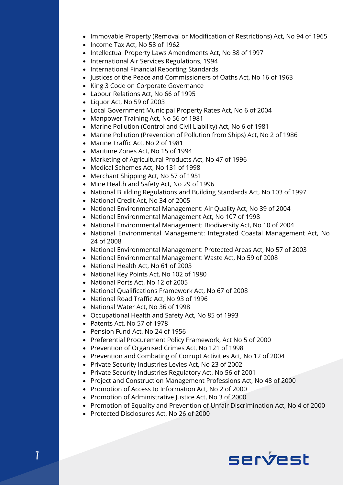- Immovable Property (Removal or Modification of Restrictions) Act, No 94 of 1965
- Income Tax Act, No 58 of 1962
- Intellectual Property Laws Amendments Act, No 38 of 1997
- International Air Services Regulations, 1994
- International Financial Reporting Standards
- Justices of the Peace and Commissioners of Oaths Act, No 16 of 1963
- King 3 Code on Corporate Governance
- Labour Relations Act, No 66 of 1995
- Liquor Act, No 59 of 2003
- Local Government Municipal Property Rates Act, No 6 of 2004
- Manpower Training Act, No 56 of 1981
- Marine Pollution (Control and Civil Liability) Act, No 6 of 1981
- Marine Pollution (Prevention of Pollution from Ships) Act, No 2 of 1986
- Marine Traffic Act, No 2 of 1981
- Maritime Zones Act, No 15 of 1994
- Marketing of Agricultural Products Act, No 47 of 1996
- Medical Schemes Act, No 131 of 1998
- Merchant Shipping Act, No 57 of 1951
- Mine Health and Safety Act, No 29 of 1996
- National Building Regulations and Building Standards Act, No 103 of 1997
- National Credit Act, No 34 of 2005
- National Environmental Management: Air Quality Act, No 39 of 2004
- National Environmental Management Act, No 107 of 1998
- National Environmental Management: Biodiversity Act, No 10 of 2004
- National Environmental Management: Integrated Coastal Management Act, No 24 of 2008
- National Environmental Management: Protected Areas Act, No 57 of 2003
- National Environmental Management: Waste Act, No 59 of 2008
- National Health Act, No 61 of 2003
- National Key Points Act, No 102 of 1980
- National Ports Act, No 12 of 2005
- National Qualifications Framework Act, No 67 of 2008
- National Road Traffic Act, No 93 of 1996
- National Water Act, No 36 of 1998
- Occupational Health and Safety Act, No 85 of 1993
- Patents Act, No 57 of 1978
- Pension Fund Act, No 24 of 1956
- Preferential Procurement Policy Framework, Act No 5 of 2000
- Prevention of Organised Crimes Act, No 121 of 1998
- Prevention and Combating of Corrupt Activities Act, No 12 of 2004
- Private Security Industries Levies Act, No 23 of 2002
- Private Security Industries Regulatory Act, No 56 of 2001
- Project and Construction Management Professions Act, No 48 of 2000
- Promotion of Access to Information Act, No 2 of 2000
- Promotion of Administrative Justice Act, No 3 of 2000
- Promotion of Equality and Prevention of Unfair Discrimination Act, No 4 of 2000
- Protected Disclosures Act, No 26 of 2000

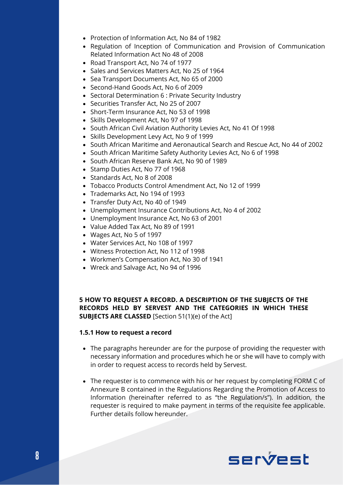- Protection of Information Act, No 84 of 1982
- Regulation of Inception of Communication and Provision of Communication Related Information Act No 48 of 2008
- Road Transport Act, No 74 of 1977
- Sales and Services Matters Act, No 25 of 1964
- Sea Transport Documents Act, No 65 of 2000
- Second-Hand Goods Act, No 6 of 2009
- Sectoral Determination 6 : Private Security Industry
- Securities Transfer Act, No 25 of 2007
- Short-Term Insurance Act, No 53 of 1998
- Skills Development Act, No 97 of 1998
- South African Civil Aviation Authority Levies Act, No 41 Of 1998
- Skills Development Levy Act, No 9 of 1999
- South African Maritime and Aeronautical Search and Rescue Act, No 44 of 2002
- South African Maritime Safety Authority Levies Act, No 6 of 1998
- South African Reserve Bank Act, No 90 of 1989
- Stamp Duties Act, No 77 of 1968
- Standards Act, No 8 of 2008
- Tobacco Products Control Amendment Act, No 12 of 1999
- Trademarks Act, No 194 of 1993
- Transfer Duty Act, No 40 of 1949
- Unemployment Insurance Contributions Act, No 4 of 2002
- Unemployment Insurance Act, No 63 of 2001
- Value Added Tax Act, No 89 of 1991
- Wages Act, No 5 of 1997
- Water Services Act, No 108 of 1997
- Witness Protection Act, No 112 of 1998
- Workmen's Compensation Act, No 30 of 1941
- Wreck and Salvage Act, No 94 of 1996

#### **5 HOW TO REQUEST A RECORD. A DESCRIPTION OF THE SUBJECTS OF THE RECORDS HELD BY SERVEST AND THE CATEGORIES IN WHICH THESE SUBJECTS ARE CLASSED** [Section 51(1)(e) of the Act]

#### **1.5.1 How to request a record**

- The paragraphs hereunder are for the purpose of providing the requester with necessary information and procedures which he or she will have to comply with in order to request access to records held by Servest.
- The requester is to commence with his or her request by completing FORM C of Annexure B contained in the Regulations Regarding the Promotion of Access to Information (hereinafter referred to as "the Regulation/s"). In addition, the requester is required to make payment in terms of the requisite fee applicable. Further details follow hereunder.

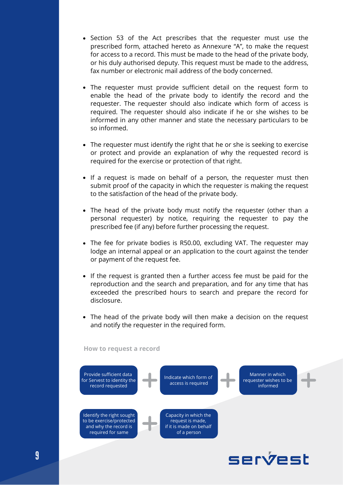- Section 53 of the Act prescribes that the requester must use the prescribed form, attached hereto as Annexure "A", to make the request for access to a record. This must be made to the head of the private body, or his duly authorised deputy. This request must be made to the address, fax number or electronic mail address of the body concerned.
- The requester must provide sufficient detail on the request form to enable the head of the private body to identify the record and the requester. The requester should also indicate which form of access is required. The requester should also indicate if he or she wishes to be informed in any other manner and state the necessary particulars to be so informed.
- The requester must identify the right that he or she is seeking to exercise or protect and provide an explanation of why the requested record is required for the exercise or protection of that right.
- If a request is made on behalf of a person, the requester must then submit proof of the capacity in which the requester is making the request to the satisfaction of the head of the private body.
- The head of the private body must notify the requester (other than a personal requester) by notice, requiring the requester to pay the prescribed fee (if any) before further processing the request.
- The fee for private bodies is R50.00, excluding VAT. The requester may lodge an internal appeal or an application to the court against the tender or payment of the request fee.
- If the request is granted then a further access fee must be paid for the reproduction and the search and preparation, and for any time that has exceeded the prescribed hours to search and prepare the record for disclosure.
- The head of the private body will then make a decision on the request and notify the requester in the required form.

**How to request a record**



servest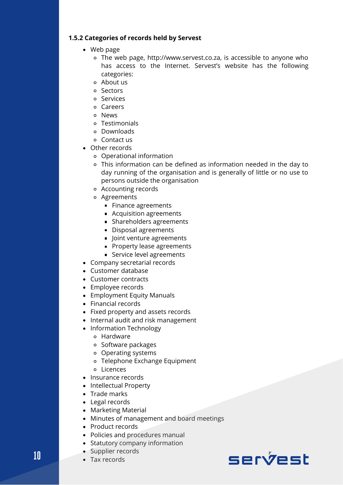#### **1.5.2 Categories of records held by Servest**

- Web page
	- The web page, http://www.servest.co.za, is accessible to anyone who has access to the Internet. Servest's website has the following categories:
	- About us
	- Sectors
	- Services
	- Careers
	- News
	- Testimonials
	- Downloads
	- Contact us
- Other records
	- Operational information
	- This information can be defined as information needed in the day to day running of the organisation and is generally of little or no use to persons outside the organisation
	- Accounting records
	- Agreements
		- **Finance agreements**
		- **Acquisition agreements**
		- **Shareholders agreements**
		- Disposal agreements
		- **Joint venture agreements**
		- **Property lease agreements**
		- Service level agreements
- Company secretarial records
- Customer database
- Customer contracts
- Employee records
- Employment Equity Manuals
- Financial records
- Fixed property and assets records
- Internal audit and risk management
- Information Technology
	- Hardware
	- o Software packages
	- Operating systems
	- Telephone Exchange Equipment
	- Licences
- Insurance records
- Intellectual Property
- Trade marks
- Legal records
- Marketing Material
- Minutes of management and board meetings
- Product records
- Policies and procedures manual
- Statutory company information
- Supplier records
- Tax records



**10**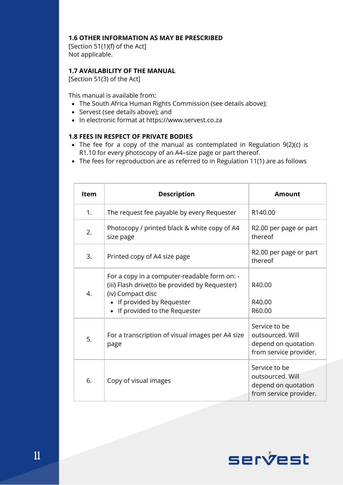#### **1.6 OTHER INFORMATION AS MAY BE PRESCRIBED**

[Section 51(1)(f) of the Act] Not applicable.

#### **1.7 AVAILABILITY OF THE MANUAL**

[Section 51(3) of the Act]

This manual is available from:

- The South Africa Human Rights Commission (see details above);
- Servest (see details above); and
- In electronic format at https://www.servest.co.za

#### **1.8 FEES IN RESPECT OF PRIVATE BODIES**

- The fee for a copy of the manual as contemplated in Regulation 9(2)(c) is R1.10 for every photocopy of an A4–size page or part thereof.
- The fees for reproduction are as referred to in Regulation 11(1) are as follows

| <b>Item</b> | <b>Description</b>                                                                                                                                                                  | Amount                                                                             |  |  |
|-------------|-------------------------------------------------------------------------------------------------------------------------------------------------------------------------------------|------------------------------------------------------------------------------------|--|--|
| 1.          | The request fee payable by every Requester                                                                                                                                          | R140.00                                                                            |  |  |
| 2.          | Photocopy / printed black & white copy of A4<br>size page                                                                                                                           | R2.00 per page or part<br>thereof                                                  |  |  |
| 3.          | Printed copy of A4 size page                                                                                                                                                        | R2.00 per page or part<br>thereof                                                  |  |  |
| 4.          | For a copy in a computer-readable form on: -<br>(iii) Flash drive(to be provided by Requester)<br>(iv) Compact disc<br>• If provided by Requester<br>• If provided to the Requester | R40.00<br>R40.00<br>R60.00                                                         |  |  |
| 5.          | For a transcription of visual images per A4 size<br>page                                                                                                                            | Service to be<br>outsourced. Will<br>depend on quotation<br>from service provider. |  |  |
| 6.          | Copy of visual images                                                                                                                                                               | Service to be<br>outsourced. Will<br>depend on quotation<br>from service provider. |  |  |

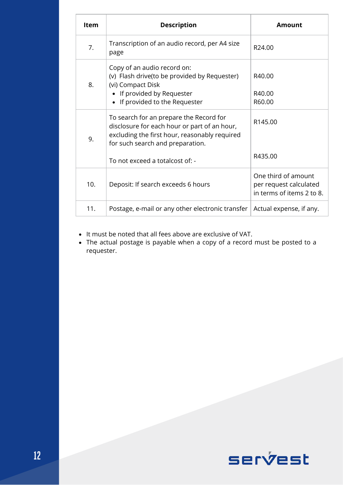| <b>Item</b> | <b>Description</b>                                                                                                                                                                                              | Amount                                                                     |
|-------------|-----------------------------------------------------------------------------------------------------------------------------------------------------------------------------------------------------------------|----------------------------------------------------------------------------|
| 7.          | Transcription of an audio record, per A4 size<br>page                                                                                                                                                           | R24.00                                                                     |
| 8.          | Copy of an audio record on:<br>(v) Flash drive(to be provided by Requester)<br>(vi) Compact Disk<br>• If provided by Requester<br>• If provided to the Requester                                                | R40.00<br>R40.00<br>R60.00                                                 |
| 9.          | To search for an prepare the Record for<br>disclosure for each hour or part of an hour,<br>excluding the first hour, reasonably required<br>for such search and preparation.<br>To not exceed a totalcost of: - | R145.00<br>R435.00                                                         |
| 10.         | Deposit: If search exceeds 6 hours                                                                                                                                                                              | One third of amount<br>per request calculated<br>in terms of items 2 to 8. |
| 11.         | Postage, e-mail or any other electronic transfer                                                                                                                                                                | Actual expense, if any.                                                    |

It must be noted that all fees above are exclusive of VAT.

The actual postage is payable when a copy of a record must be posted to a requester.

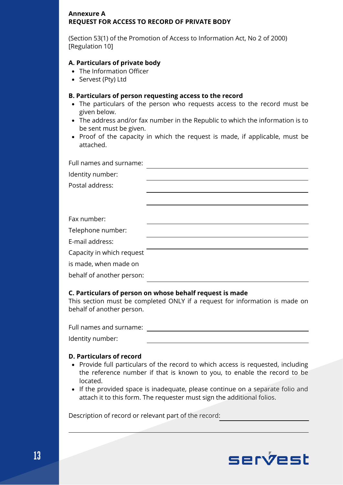#### **Annexure A REQUEST FOR ACCESS TO RECORD OF PRIVATE BODY**

(Section 53(1) of the Promotion of Access to Information Act, No 2 of 2000) [Regulation 10]

#### **A. Particulars of private body**

- The Information Officer
- Servest (Pty) Ltd

#### **B. Particulars of person requesting access to the record**

- The particulars of the person who requests access to the record must be given below.
- The address and/or fax number in the Republic to which the information is to be sent must be given.
- Proof of the capacity in which the request is made, if applicable, must be attached.

| Full names and surname:   |  |
|---------------------------|--|
| Identity number:          |  |
| Postal address:           |  |
|                           |  |
|                           |  |
| Fax number:               |  |
| Telephone number:         |  |
| E-mail address:           |  |
| Capacity in which request |  |
| is made, when made on     |  |
| behalf of another person: |  |

#### **C. Particulars of person on whose behalf request is made**

This section must be completed ONLY if a request for information is made on behalf of another person.

Full names and surname:

Identity number:

#### **D. Particulars of record**

- Provide full particulars of the record to which access is requested, including the reference number if that is known to you, to enable the record to be located.
- If the provided space is inadequate, please continue on a separate folio and attach it to this form. The requester must sign the additional folios.

Description of record or relevant part of the record:

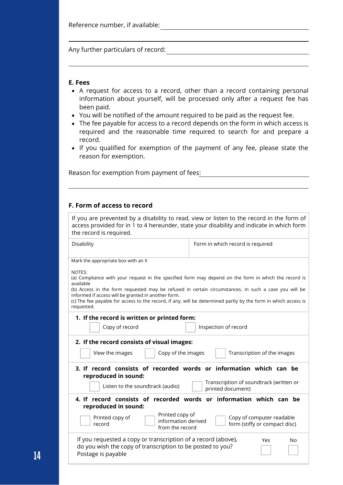Reference number, if available:

Any further particulars of record:

#### **E. Fees**

- A request for access to a record, other than a record containing personal information about yourself, will be processed only after a request fee has been paid.
- You will be notified of the amount required to be paid as the request fee.
- The fee payable for access to a record depends on the form in which access is required and the reasonable time required to search for and prepare a record.
- If you qualified for exemption of the payment of any fee, please state the reason for exemption.

Reason for exemption from payment of fees:

#### **F. Form of access to record**

| the record is required.                                                                                                                                                                                                                                                                                                                                                                                                    | If you are prevented by a disability to read, view or listen to the record in the form of<br>access provided for in 1 to 4 hereunder, state your disability and indicate in which form |
|----------------------------------------------------------------------------------------------------------------------------------------------------------------------------------------------------------------------------------------------------------------------------------------------------------------------------------------------------------------------------------------------------------------------------|----------------------------------------------------------------------------------------------------------------------------------------------------------------------------------------|
| Disability                                                                                                                                                                                                                                                                                                                                                                                                                 | Form in which record is required                                                                                                                                                       |
| Mark the appropriate box with an X                                                                                                                                                                                                                                                                                                                                                                                         |                                                                                                                                                                                        |
| NOTES:<br>(a) Compliance with your request in the specified form may depend on the form in which the record is<br>available<br>(b) Access in the form requested may be refused in certain circumstances. In such a case you will be<br>informed if access will be granted in another form.<br>(c) The fee payable for access to the record, if any, will be determined partly by the form in which access is<br>requested. |                                                                                                                                                                                        |
| 1. If the record is written or printed form:<br>Copy of record                                                                                                                                                                                                                                                                                                                                                             | Inspection of record                                                                                                                                                                   |
| 2. If the record consists of visual images:<br>View the images<br>Copy of the images                                                                                                                                                                                                                                                                                                                                       | Transcription of the images                                                                                                                                                            |
| 3. If record consists of recorded words or information which can be<br>reproduced in sound:                                                                                                                                                                                                                                                                                                                                |                                                                                                                                                                                        |
| Listen to the soundtrack (audio)                                                                                                                                                                                                                                                                                                                                                                                           | Transcription of soundtrack (written or<br>printed document)                                                                                                                           |
| 4. If record consists of recorded words or information which can be<br>reproduced in sound:                                                                                                                                                                                                                                                                                                                                |                                                                                                                                                                                        |
| Printed copy of<br>Printed copy of<br>information derived<br>record<br>from the record                                                                                                                                                                                                                                                                                                                                     | Copy of computer readable<br>form (stiffy or compact disc)                                                                                                                             |
| If you requested a copy or transcription of a record (above),<br>do you wish the copy of transcription to be posted to you?<br>Postage is payable                                                                                                                                                                                                                                                                          | Yes<br>No                                                                                                                                                                              |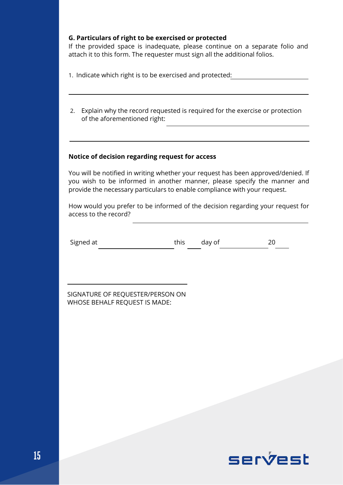#### **G. Particulars of right to be exercised or protected**

If the provided space is inadequate, please continue on a separate folio and attach it to this form. The requester must sign all the additional folios.

1. Indicate which right is to be exercised and protected:

Explain why the record requested is required for the exercise or protection 2. of the aforementioned right:

#### **Notice of decision regarding request for access**

You will be notified in writing whether your request has been approved/denied. If you wish to be informed in another manner, please specify the manner and provide the necessary particulars to enable compliance with your request.

How would you prefer to be informed of the decision regarding your request for access to the record?

| Signed at | this day of |  |
|-----------|-------------|--|

SIGNATURE OF REQUESTER/PERSON ON WHOSE BEHALF REQUEST IS MADE: